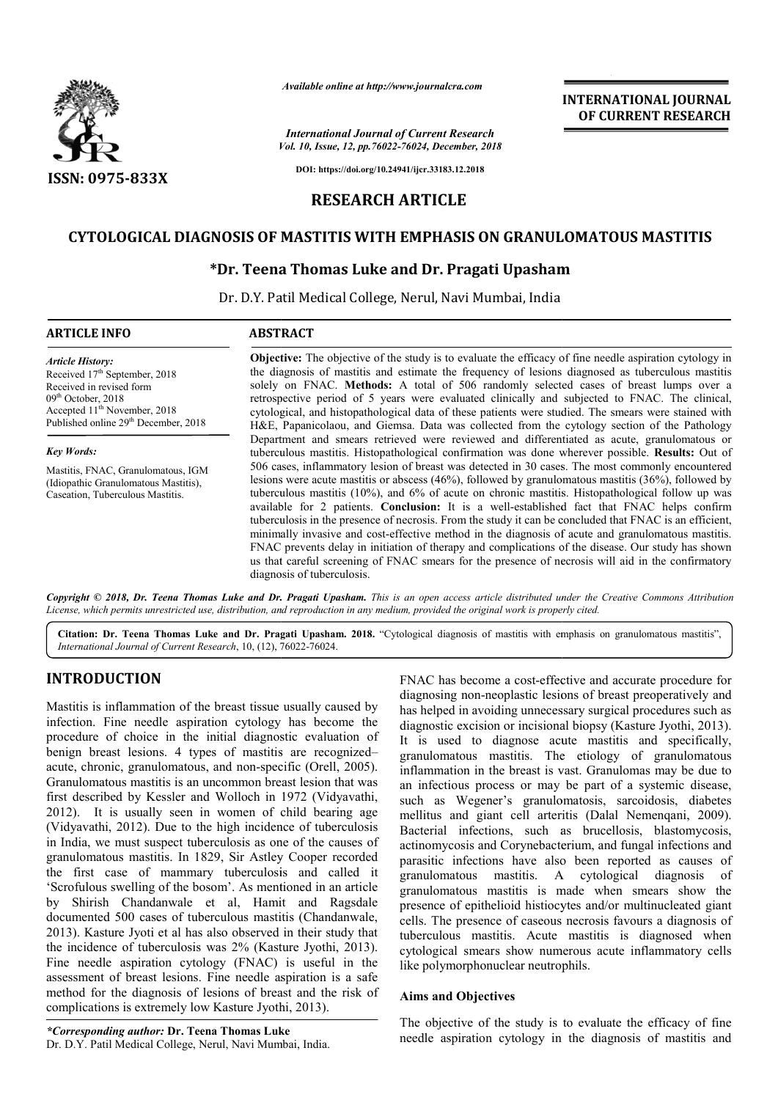

*Available online at http://www.journalcra.com*

*Vol. 10, Issue, 12, pp.76022-76024, December, 2018 International Journal of Current Research*

**INTERNATIONAL JOURNAL OF CURRENT RESEARCH**

**DOI: https://doi.org/10.24941/ijcr.33183.12.2018**

# **RESEARCH ARTICLE**

# **CYTOLOGICAL DIAGNOSIS OF MASTITIS WITH EMPHASIS ON GRANULOMATOUS MASTITIS**

# **\*Dr. Teena Thomas Luke and Dr. Pragati Upasham Dr. Dr. Teena Upasham**

Dr. D.Y. Patil Medical College, Nerul, Navi Mumbai, India

### **ARTICLE INFO ABSTRACT**

*Article History:* Received 17<sup>th</sup> September, 2018 Received in revised form 09<sup>th</sup> October, 2018 Accepted 11<sup>th</sup> November, 2018 Published online 29<sup>th</sup> December, 2018

#### *Key Words:*

Mastitis, FNAC, Granulomatous, IGM (Idiopathic Granulomatous Mastitis), Caseation, Tuberculous Mastitis.

**Objective:** The objective of the study is to evaluate the efficacy of fine needle aspiration cytology in the diagnosis of mastitis and estimate the frequency of lesions diagnosed as tuberculous mastitis solely on FNAC. **Methods:** A total of 506 randomly selected cases o retrospective period of 5 years were evaluated clinically and subjected to FNAC. The clinical, cytological, and histopathological data of these patients were studied. The smears were stained with H&E, Papanicolaou, and Giemsa. Data was collected from the cytology section of the Pathology Department and smears retrieved were reviewed and differentiated as acute, granulomatous or tuberculous mastitis. Histopathological confirmation was done wherever possible. Results: Out of 506 cases, i inflammatory lesion of breast was detected in 30 cases. The most commonly encountered lesions were acute mastitis or abscess (46%), followed by granulomatous mastitis (36%), followed by 506 cases, inflammatory lesion of breast was detected in 30 cases. The most commonly encountered lesions were acute mastitis or abscess (46%), followed by granulomatous mastitis (36%), followed by tuberculous mastitis (10% available for 2 patients. **Conclusion:** It is a well-established fact that FNAC helps confirm tuberculosis in the presence of necrosis. From the study it can be concluded that FNAC is an efficient, minimally invasive and cost-effective method in the diagnosis of acute and granulomatous mastitis. FNAC prevents delay in initiation of therapy and complications of the disease. Our study has shown us that careful screening of FNAC smears for the presence of necrosis will aid in the confirmatory diagnosis of tuberculosis. **Objective:** The objective of the study is to evaluate the efficacy of fine needle aspiration cytology in the diagnosis of mastitis and estimate the frequency of lesions diagnosed as tuberculous mastitis solely on FNAC. **M** retrospective period of 5 years were evaluated clinically and subjected to FNAC. The clinical, cytological, and histopathological data of these patients were studied. The smears were stained with H&E, Papanicolaou, and Gie available for 2 patients. **Conclusion:** It is a well-established fact that FNAC helps confirm tuberculosis in the presence of necrosis. From the study it can be concluded that FNAC is an efficient, minimally invasive and c

Copyright © 2018, Dr. Teena Thomas Luke and Dr. Pragati Upasham. This is an open access article distributed under the Creative Commons Attribution License, which permits unrestricted use, distribution, and reproduction in any medium, provided the original work is properly cited.

Citation: Dr. Teena Thomas Luke and Dr. Pragati Upasham. 2018. "Cytological diagnosis of mastitis with emphasis on granulomatous mastitis", *International Journal of Current Research*, 10, (12), 76022 76022-76024.

# **INTRODUCTION**

Mastitis is inflammation of the breast tissue usually caused by infection. Fine needle aspiration cytology has become the procedure of choice in the initial diagnostic evaluation of benign breast lesions. 4 types of mastitis are recognizedacute, chronic, granulomatous, and non-specific (Orell, 2005). Granulomatous mastitis is an uncommon breast lesion that was first described by Kessler and Wolloch in 1972 (Vidyavathi, 2012). It is usually seen in women of child bearing age (Vidyavathi, 2012). Due to the high incidence of tuberculosis in India, we must suspect tuberculosis as one of the causes of granulomatous mastitis. In 1829, Sir Astley Cooper recorded the first case of mammary tuberculosis and called it 'Scrofulous swelling of the bosom'. As mentioned in an article by Shirish Chandanwale et al, Hamit and Ragsdale documented 500 cases of tuberculous mastitis (Chandanwale, 2013). Kasture Jyoti et al has also observed in their study that the incidence of tuberculosis was 2% (Kasture Jyothi, 2013). Fine needle aspiration cytology (FNAC) is useful in the assessment of breast lesions. Fine needle aspiration is a safe method for the diagnosis of lesions of breast and the risk of complications is extremely low Kasture Jyothi, 2013). ranulomatous, and non-specific (Orell, 2005).<br>nastitis is an uncommon breast lesion that was<br>y Kessler and Wolloch in 1972 (Vidyavathi,<br>ually seen in women of child bearing age<br>2). Due to the high incidence of tuberculosis FNAC has become a cost-effective and accurate procedure for diagnosing non-neoplastic lesions of breast preoperatively and has helped in avoiding unnecessary surgical procedures such as diagnostic excision or incisional biopsy (Kasture Jyothi, 2013). It is used to diagnose acute mastitis and specifically, granulomatous mastitis. The etiology of granulomatous inflammation in the breast is vast. Granulomas may be due to an infectious process or may be part of a systemic disease, such as Wegener's granulomatosis, sarcoidosis, diabetes mellitus and giant cell arteritis (Dalal Nemenqani, 2009). Bacterial infections, such as brucellosis, blastomycosis, actinomycosis and Corynebacterium, and fungal infections and parasitic infections have also been reported as causes of granulomatous mastitis. A cytological diagnosis of granulomatous mastitis is made when smears show the presence of epithelioid histiocytes and/or multinucleated giant cells. The presence of caseous necrosis favours a diagnosis of tuberculous mastitis. Acute mastitis is diagnosed when cytological smears show numerous acute inflammatory cells like polymorphonuclear neutrophils. become a cost-effective and accurate procedure for non-neoplastic lesions of breast preoperatively and in avoiding unnecessary surgical procedures such as excision or incisional biopsy (Kasture Jyothi, 2013). diagnose acute mastitis and specifically, mastitis. The etiology of granulomatous the breast is vast. Granulomas may be due to ocess or may be part of a systemic disease, such as Wegener's granulomatosis, sarcoidosis, diabetes<br>mellitus and giant cell arteritis (Dalal Nemenqani, 2009).<br>Bacterial infections, such as brucellosis, blastomycosis,<br>actinomycosis and Corynebacterium, and fungal inf INTERNATIONAL JOURNAL<br>
SOF CURRENT RESEARCH<br>
SOF CURRENT RESEARCH<br>
CHEW (Remover, 2018<br>
1962-A, Procenter, 2018<br>
1967-2018<br>
1967-2018<br>
1967-2018 11:00<br>
1976-33161.12:30<br> **ARTICLE**<br> **EMPIHASIS ON GRANULOMATOUS MASTITIS**<br> **C** 

#### **Aims and Objectives**

The objective of the study is to evaluate the efficacy of fine needle aspiration cytology in the diagnosis of mastitis and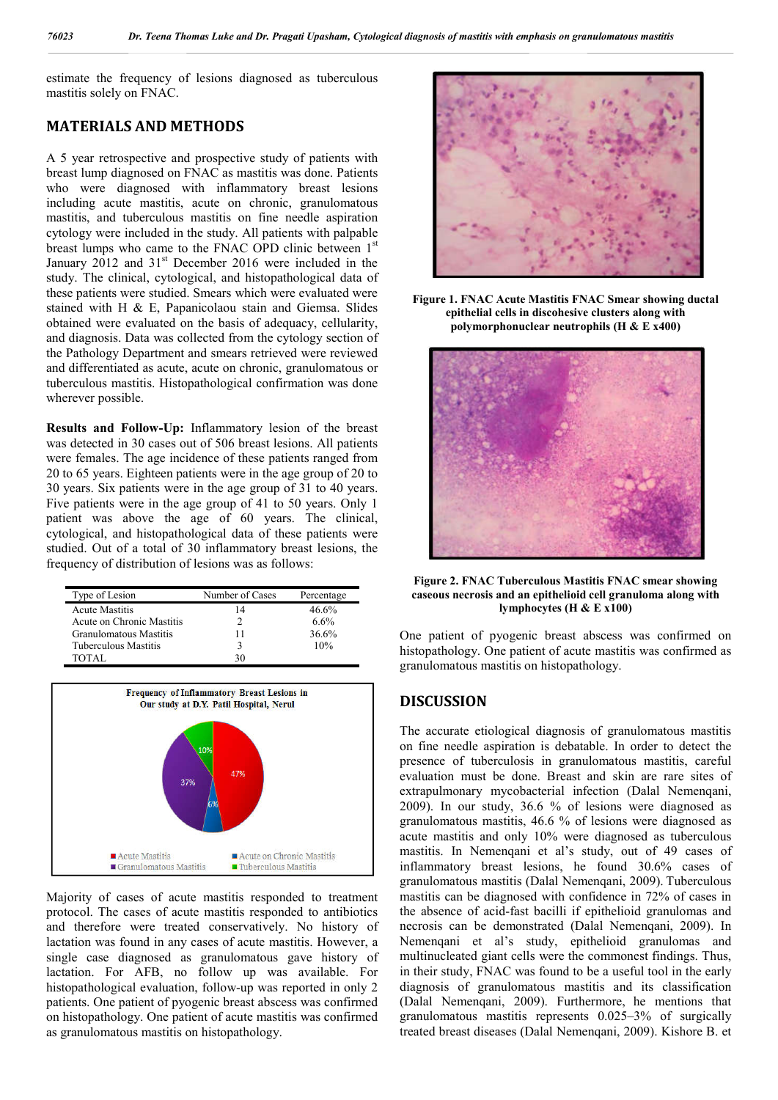estimate the frequency of lesions diagnosed as tuberculous mastitis solely on FNAC.

## **MATERIALS AND METHODS**

A 5 year retrospective and prospective study of patients with breast lump diagnosed on FNAC as mastitis was done. Patients who were diagnosed with inflammatory breast lesions including acute mastitis, acute on chronic, granulomatous mastitis, and tuberculous mastitis on fine needle aspiration cytology were included in the study. All patients with palpable breast lumps who came to the FNAC OPD clinic between 1st January 2012 and 31<sup>st</sup> December 2016 were included in the study. The clinical, cytological, and histopathological data of these patients were studied. Smears which were evaluated were stained with H & E, Papanicolaou stain and Giemsa. Slides obtained were evaluated on the basis of adequacy, cellularity, and diagnosis. Data was collected from the cytology section of the Pathology Department and smears retrieved were reviewed and differentiated as acute, acute on chronic, granulomatous or tuberculous mastitis. Histopathological confirmation was done wherever possible.

**Results and Follow-Up:** Inflammatory lesion of the breast was detected in 30 cases out of 506 breast lesions. All patients were females. The age incidence of these patients ranged from 20 to 65 years. Eighteen patients were in the age group of 20 to 30 years. Six patients were in the age group of 31 to 40 years. Five patients were in the age group of 41 to 50 years. Only 1 patient was above the age of 60 years. The clinical, cytological, and histopathological data of these patients were studied. Out of a total of 30 inflammatory breast lesions, the frequency of distribution of lesions was as follows:

| Type of Lesion            | Number of Cases | Percentage |
|---------------------------|-----------------|------------|
| <b>Acute Mastitis</b>     | 14              | 46.6%      |
| Acute on Chronic Mastitis |                 | 6.6%       |
| Granulomatous Mastitis    | 11              | 36.6%      |
| Tuberculous Mastitis      |                 | 10%        |
| TOTAL.                    | 30              |            |



Majority of cases of acute mastitis responded to treatment protocol. The cases of acute mastitis responded to antibiotics and therefore were treated conservatively. No history of lactation was found in any cases of acute mastitis. However, a single case diagnosed as granulomatous gave history of lactation. For AFB, no follow up was available. For histopathological evaluation, follow-up was reported in only 2 patients. One patient of pyogenic breast abscess was confirmed on histopathology. One patient of acute mastitis was confirmed as granulomatous mastitis on histopathology.



**Figure 1. FNAC Acute Mastitis FNAC Smear showing ductal epithelial cells in discohesive clusters along with polymorphonuclear neutrophils (H & E x400)**



**Figure 2. FNAC Tuberculous Mastitis FNAC smear showing caseous necrosis and an epithelioid cell granuloma along with lymphocytes (H & E x100)**

One patient of pyogenic breast abscess was confirmed on histopathology. One patient of acute mastitis was confirmed as granulomatous mastitis on histopathology.

## **DISCUSSION**

The accurate etiological diagnosis of granulomatous mastitis on fine needle aspiration is debatable. In order to detect the presence of tuberculosis in granulomatous mastitis, careful evaluation must be done. Breast and skin are rare sites of extrapulmonary mycobacterial infection (Dalal Nemenqani, 2009). In our study, 36.6 % of lesions were diagnosed as granulomatous mastitis, 46.6 % of lesions were diagnosed as acute mastitis and only 10% were diagnosed as tuberculous mastitis. In Nemenqani et al's study, out of 49 cases of inflammatory breast lesions, he found 30.6% cases of granulomatous mastitis (Dalal Nemenqani, 2009). Tuberculous mastitis can be diagnosed with confidence in 72% of cases in the absence of acid-fast bacilli if epithelioid granulomas and necrosis can be demonstrated (Dalal Nemenqani, 2009). In Nemenqani et al's study, epithelioid granulomas and multinucleated giant cells were the commonest findings. Thus, in their study, FNAC was found to be a useful tool in the early diagnosis of granulomatous mastitis and its classification (Dalal Nemenqani, 2009). Furthermore, he mentions that granulomatous mastitis represents 0.025–3% of surgically treated breast diseases (Dalal Nemenqani, 2009). Kishore B. et